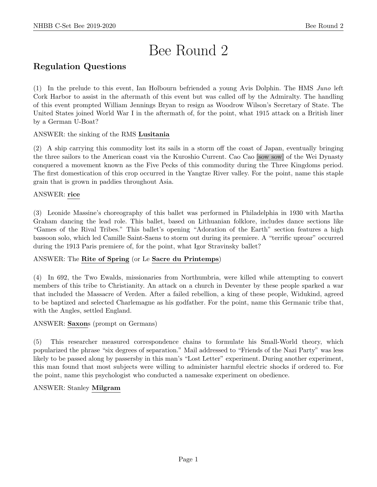# Bee Round 2

## Regulation Questions

(1) In the prelude to this event, Ian Holbourn befriended a young Avis Dolphin. The HMS Juno left Cork Harbor to assist in the aftermath of this event but was called off by the Admiralty. The handling of this event prompted William Jennings Bryan to resign as Woodrow Wilson's Secretary of State. The United States joined World War I in the aftermath of, for the point, what 1915 attack on a British liner by a German U-Boat?

#### ANSWER: the sinking of the RMS Lusitania

(2) A ship carrying this commodity lost its sails in a storm off the coast of Japan, eventually bringing the three sailors to the American coast via the Kuroshio Current. Cao Cao [sow sow] of the Wei Dynasty conquered a movement known as the Five Pecks of this commodity during the Three Kingdoms period. The first domestication of this crop occurred in the Yangtze River valley. For the point, name this staple grain that is grown in paddies throughout Asia.

#### ANSWER: rice

(3) Leonide Massine's choreography of this ballet was performed in Philadelphia in 1930 with Martha Graham dancing the lead role. This ballet, based on Lithuanian folklore, includes dance sections like "Games of the Rival Tribes." This ballet's opening "Adoration of the Earth" section features a high bassoon solo, which led Camille Saint-Saens to storm out during its premiere. A "terrific uproar" occurred during the 1913 Paris premiere of, for the point, what Igor Stravinsky ballet?

#### ANSWER: The Rite of Spring (or Le Sacre du Printemps)

(4) In 692, the Two Ewalds, missionaries from Northumbria, were killed while attempting to convert members of this tribe to Christianity. An attack on a church in Deventer by these people sparked a war that included the Massacre of Verden. After a failed rebellion, a king of these people, Widukind, agreed to be baptized and selected Charlemagne as his godfather. For the point, name this Germanic tribe that, with the Angles, settled England.

#### ANSWER: Saxons (prompt on Germans)

(5) This researcher measured correspondence chains to formulate his Small-World theory, which popularized the phrase "six degrees of separation." Mail addressed to "Friends of the Nazi Party" was less likely to be passed along by passersby in this man's "Lost Letter" experiment. During another experiment, this man found that most subjects were willing to administer harmful electric shocks if ordered to. For the point, name this psychologist who conducted a namesake experiment on obedience.

#### ANSWER: Stanley Milgram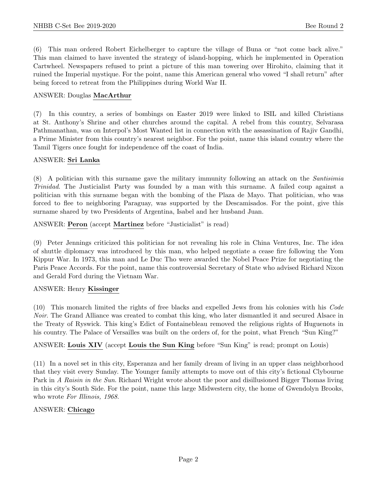(6) This man ordered Robert Eichelberger to capture the village of Buna or "not come back alive." This man claimed to have invented the strategy of island-hopping, which he implemented in Operation Cartwheel. Newspapers refused to print a picture of this man towering over Hirohito, claiming that it ruined the Imperial mystique. For the point, name this American general who vowed "I shall return" after being forced to retreat from the Philippines during World War II.

#### ANSWER: Douglas MacArthur

(7) In this country, a series of bombings on Easter 2019 were linked to ISIL and killed Christians at St. Anthony's Shrine and other churches around the capital. A rebel from this country, Selvarasa Pathmanathan, was on Interpol's Most Wanted list in connection with the assassination of Rajiv Gandhi, a Prime Minister from this country's nearest neighbor. For the point, name this island country where the Tamil Tigers once fought for independence off the coast of India.

#### ANSWER: Sri Lanka

(8) A politician with this surname gave the military immunity following an attack on the Santisimia Trinidad. The Justicialist Party was founded by a man with this surname. A failed coup against a politician with this surname began with the bombing of the Plaza de Mayo. That politician, who was forced to flee to neighboring Paraguay, was supported by the Descamisados. For the point, give this surname shared by two Presidents of Argentina, Isabel and her husband Juan.

ANSWER: Peron (accept Martinez before "Justicialist" is read)

(9) Peter Jennings criticized this politician for not revealing his role in China Ventures, Inc. The idea of shuttle diplomacy was introduced by this man, who helped negotiate a cease fire following the Yom Kippur War. In 1973, this man and Le Duc Tho were awarded the Nobel Peace Prize for negotiating the Paris Peace Accords. For the point, name this controversial Secretary of State who advised Richard Nixon and Gerald Ford during the Vietnam War.

#### ANSWER: Henry Kissinger

(10) This monarch limited the rights of free blacks and expelled Jews from his colonies with his Code Noir. The Grand Alliance was created to combat this king, who later dismantled it and secured Alsace in the Treaty of Ryswick. This king's Edict of Fontainebleau removed the religious rights of Huguenots in his country. The Palace of Versailles was built on the orders of, for the point, what French "Sun King?"

ANSWER: Louis XIV (accept Louis the Sun King before "Sun King" is read; prompt on Louis)

(11) In a novel set in this city, Esperanza and her family dream of living in an upper class neighborhood that they visit every Sunday. The Younger family attempts to move out of this city's fictional Clybourne Park in A Raisin in the Sun. Richard Wright wrote about the poor and disillusioned Bigger Thomas living in this city's South Side. For the point, name this large Midwestern city, the home of Gwendolyn Brooks, who wrote For Illinois, 1968.

#### ANSWER: Chicago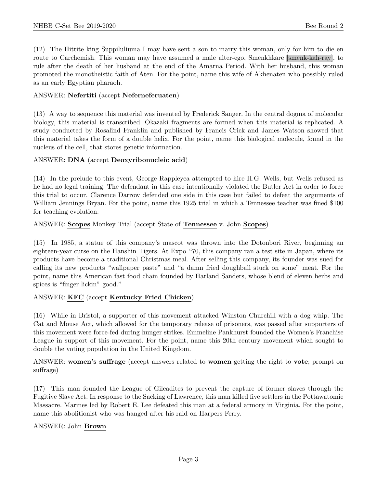(12) The Hittite king Suppiluliuma I may have sent a son to marry this woman, only for him to die en route to Carchemish. This woman may have assumed a male alter-ego, Smenkhkare [smenk-kah-ray], to rule after the death of her husband at the end of the Amarna Period. With her husband, this woman promoted the monotheistic faith of Aten. For the point, name this wife of Akhenaten who possibly ruled as an early Egyptian pharaoh.

#### ANSWER: Nefertiti (accept Neferneferuaten)

(13) A way to sequence this material was invented by Frederick Sanger. In the central dogma of molecular biology, this material is transcribed. Okazaki fragments are formed when this material is replicated. A study conducted by Rosalind Franklin and published by Francis Crick and James Watson showed that this material takes the form of a double helix. For the point, name this biological molecule, found in the nucleus of the cell, that stores genetic information.

#### ANSWER: DNA (accept Deoxyribonucleic acid)

(14) In the prelude to this event, George Rappleyea attempted to hire H.G. Wells, but Wells refused as he had no legal training. The defendant in this case intentionally violated the Butler Act in order to force this trial to occur. Clarence Darrow defended one side in this case but failed to defeat the arguments of William Jennings Bryan. For the point, name this 1925 trial in which a Tennessee teacher was fined \$100 for teaching evolution.

#### ANSWER: Scopes Monkey Trial (accept State of Tennessee v. John Scopes)

(15) In 1985, a statue of this company's mascot was thrown into the Dotonbori River, beginning an eighteen-year curse on the Hanshin Tigers. At Expo "70, this company ran a test site in Japan, where its products have become a traditional Christmas meal. After selling this company, its founder was sued for calling its new products "wallpaper paste" and "a damn fried doughball stuck on some" meat. For the point, name this American fast food chain founded by Harland Sanders, whose blend of eleven herbs and spices is "finger lickin" good."

#### ANSWER: KFC (accept Kentucky Fried Chicken)

(16) While in Bristol, a supporter of this movement attacked Winston Churchill with a dog whip. The Cat and Mouse Act, which allowed for the temporary release of prisoners, was passed after supporters of this movement were force-fed during hunger strikes. Emmeline Pankhurst founded the Women's Franchise League in support of this movement. For the point, name this 20th century movement which sought to double the voting population in the United Kingdom.

ANSWER: women's suffrage (accept answers related to women getting the right to vote; prompt on suffrage)

(17) This man founded the League of Gileadites to prevent the capture of former slaves through the Fugitive Slave Act. In response to the Sacking of Lawrence, this man killed five settlers in the Pottawatomie Massacre. Marines led by Robert E. Lee defeated this man at a federal armory in Virginia. For the point, name this abolitionist who was hanged after his raid on Harpers Ferry.

#### ANSWER: John Brown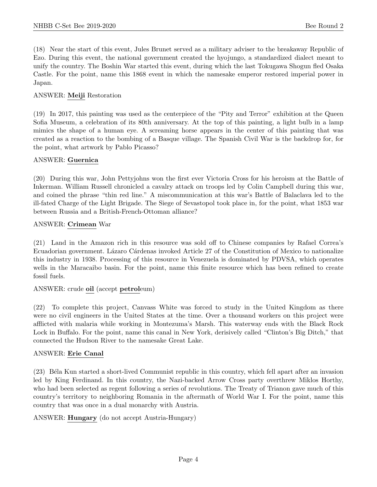(18) Near the start of this event, Jules Brunet served as a military adviser to the breakaway Republic of Ezo. During this event, the national government created the hyojungo, a standardized dialect meant to unify the country. The Boshin War started this event, during which the last Tokugawa Shogun fled Osaka Castle. For the point, name this 1868 event in which the namesake emperor restored imperial power in Japan.

#### ANSWER: Meiji Restoration

(19) In 2017, this painting was used as the centerpiece of the "Pity and Terror" exhibition at the Queen Sofia Museum, a celebration of its 80th anniversary. At the top of this painting, a light bulb in a lamp mimics the shape of a human eye. A screaming horse appears in the center of this painting that was created as a reaction to the bombing of a Basque village. The Spanish Civil War is the backdrop for, for the point, what artwork by Pablo Picasso?

#### ANSWER: Guernica

(20) During this war, John Pettyjohns won the first ever Victoria Cross for his heroism at the Battle of Inkerman. William Russell chronicled a cavalry attack on troops led by Colin Campbell during this war, and coined the phrase "thin red line." A miscommunication at this war's Battle of Balaclava led to the ill-fated Charge of the Light Brigade. The Siege of Sevastopol took place in, for the point, what 1853 war between Russia and a British-French-Ottoman alliance?

#### ANSWER: Crimean War

(21) Land in the Amazon rich in this resource was sold off to Chinese companies by Rafael Correa's Ecuadorian government. Lázaro Cárdenas invoked Article 27 of the Constitution of Mexico to nationalize this industry in 1938. Processing of this resource in Venezuela is dominated by PDVSA, which operates wells in the Maracaibo basin. For the point, name this finite resource which has been refined to create fossil fuels.

#### ANSWER: crude oil (accept petroleum)

(22) To complete this project, Canvass White was forced to study in the United Kingdom as there were no civil engineers in the United States at the time. Over a thousand workers on this project were afflicted with malaria while working in Montezuma's Marsh. This waterway ends with the Black Rock Lock in Buffalo. For the point, name this canal in New York, derisively called "Clinton's Big Ditch," that connected the Hudson River to the namesake Great Lake.

#### ANSWER: Erie Canal

(23) B´ela Kun started a short-lived Communist republic in this country, which fell apart after an invasion led by King Ferdinand. In this country, the Nazi-backed Arrow Cross party overthrew Miklos Horthy, who had been selected as regent following a series of revolutions. The Treaty of Trianon gave much of this country's territory to neighboring Romania in the aftermath of World War I. For the point, name this country that was once in a dual monarchy with Austria.

#### ANSWER: Hungary (do not accept Austria-Hungary)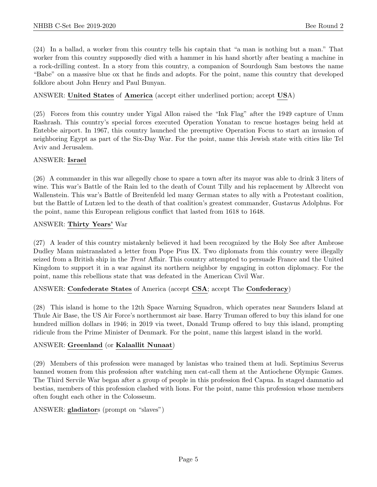(24) In a ballad, a worker from this country tells his captain that "a man is nothing but a man." That worker from this country supposedly died with a hammer in his hand shortly after beating a machine in a rock-drilling contest. In a story from this country, a companion of Sourdough Sam bestows the name "Babe" on a massive blue ox that he finds and adopts. For the point, name this country that developed folklore about John Henry and Paul Bunyan.

#### ANSWER: United States of America (accept either underlined portion; accept USA)

(25) Forces from this country under Yigal Allon raised the "Ink Flag" after the 1949 capture of Umm Rashrash. This country's special forces executed Operation Yonatan to rescue hostages being held at Entebbe airport. In 1967, this country launched the preemptive Operation Focus to start an invasion of neighboring Egypt as part of the Six-Day War. For the point, name this Jewish state with cities like Tel Aviv and Jerusalem.

#### ANSWER: Israel

(26) A commander in this war allegedly chose to spare a town after its mayor was able to drink 3 liters of wine. This war's Battle of the Rain led to the death of Count Tilly and his replacement by Albrecht von Wallenstein. This war's Battle of Breitenfeld led many German states to ally with a Protestant coalition, but the Battle of Lutzen led to the death of that coalition's greatest commander, Gustavus Adolphus. For the point, name this European religious conflict that lasted from 1618 to 1648.

#### ANSWER: Thirty Years' War

(27) A leader of this country mistakenly believed it had been recognized by the Holy See after Ambrose Dudley Mann mistranslated a letter from Pope Pius IX. Two diplomats from this country were illegally seized from a British ship in the Trent Affair. This country attempted to persuade France and the United Kingdom to support it in a war against its northern neighbor by engaging in cotton diplomacy. For the point, name this rebellious state that was defeated in the American Civil War.

#### ANSWER: Confederate States of America (accept CSA; accept The Confederacy)

(28) This island is home to the 12th Space Warning Squadron, which operates near Saunders Island at Thule Air Base, the US Air Force's northernmost air base. Harry Truman offered to buy this island for one hundred million dollars in 1946; in 2019 via tweet, Donald Trump offered to buy this island, prompting ridicule from the Prime Minister of Denmark. For the point, name this largest island in the world.

#### ANSWER: Greenland (or Kalaallit Nunaat)

(29) Members of this profession were managed by lanistas who trained them at ludi. Septimius Severus banned women from this profession after watching men cat-call them at the Antiochene Olympic Games. The Third Servile War began after a group of people in this profession fled Capua. In staged damnatio ad bestias, members of this profession clashed with lions. For the point, name this profession whose members often fought each other in the Colosseum.

#### ANSWER: gladiators (prompt on "slaves")